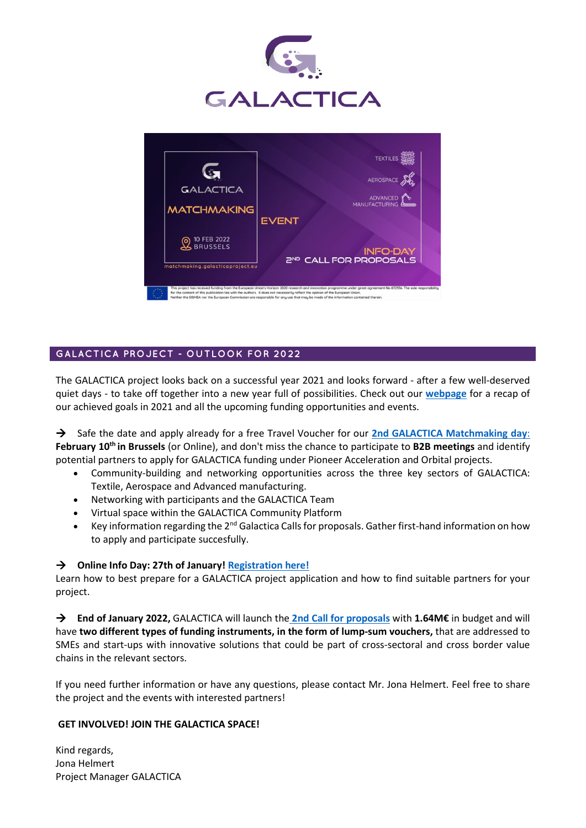



# **GALACTICA PROJECT - OUTLOOK FOR 2022**

The GALACTICA project looks back on a successful year 2021 and looks forward - after a few well-deserved quiet days - to take off together into a new year full of possibilities. Check out our **[webpage](https://galacticaproject.eu/about-galactica/)** for a recap of our achieved goals in 2021 and all the upcoming funding opportunities and events.

 $\rightarrow$  Safe the date and apply already for a free Travel Voucher for our **[2nd GALACTICA Matchmaking day](https://galacticaproject.eu/2021/12/09/galactica-matchmaking-and-info-day-of-2nd-call-in-brussels/)**: **February 10th in Brussels** (or Online), and don't miss the chance to participate to **B2B meetings** and identify potential partners to apply for GALACTICA funding under Pioneer Acceleration and Orbital projects.

- Community-building and networking opportunities across the three key sectors of GALACTICA: Textile, Aerospace and Advanced manufacturing.
- Networking with participants and the GALACTICA Team
- Virtual space within the GALACTICA Community Platform
- Key information regarding the 2nd Galactica Calls for proposals. Gather first-hand information on how to apply and participate succesfully.

# **Online Info Day: 27th of January[! Registration here!](https://www.eventbrite.de/e/een-presents-galactica-smart-industrial-innovation-for-textileaerospace-tickets-226819652687)**

Learn how to best prepare for a GALACTICA project application and how to find suitable partners for your project.

 **End of January 2022,** GALACTICA will launch the **[2nd Call for proposals](https://galacticaproject.eu/galactica-call-for-proposals/)** with **1.64M€** in budget and will have **two different types of funding instruments, in the form of lump-sum vouchers,** that are addressed to SMEs and start-ups with innovative solutions that could be part of cross-sectoral and cross border value chains in the relevant sectors.

If you need further information or have any questions, please contact Mr. Jona Helmert. Feel free to share the project and the events with interested partners!

### **GET INVOLVED! JOIN THE GALACTICA SPACE!**

Kind regards, Jona Helmert Project Manager GALACTICA